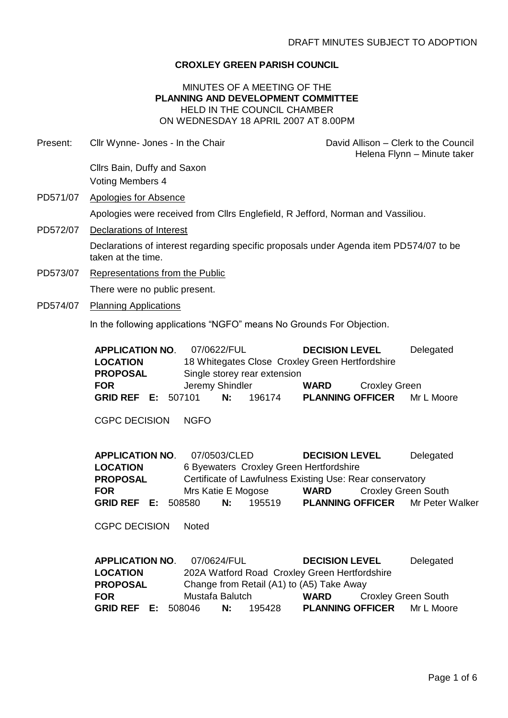## **CROXLEY GREEN PARISH COUNCIL**

## MINUTES OF A MEETING OF THE **PLANNING AND DEVELOPMENT COMMITTEE** HELD IN THE COUNCIL CHAMBER ON WEDNESDAY 18 APRIL 2007 AT 8.00PM

| Present: | Cllr Wynne- Jones - In the Chair                                     |                                                                                                |                                           | David Allison - Clerk to the Council<br>Helena Flynn - Minute taker |  |  |  |  |
|----------|----------------------------------------------------------------------|------------------------------------------------------------------------------------------------|-------------------------------------------|---------------------------------------------------------------------|--|--|--|--|
|          | Cllrs Bain, Duffy and Saxon                                          |                                                                                                |                                           |                                                                     |  |  |  |  |
|          | Voting Members 4                                                     |                                                                                                |                                           |                                                                     |  |  |  |  |
| PD571/07 | <b>Apologies for Absence</b>                                         |                                                                                                |                                           |                                                                     |  |  |  |  |
|          |                                                                      | Apologies were received from Cllrs Englefield, R Jefford, Norman and Vassiliou.                |                                           |                                                                     |  |  |  |  |
| PD572/07 | <b>Declarations of Interest</b>                                      |                                                                                                |                                           |                                                                     |  |  |  |  |
|          | taken at the time.                                                   | Declarations of interest regarding specific proposals under Agenda item PD574/07 to be         |                                           |                                                                     |  |  |  |  |
| PD573/07 | <b>Representations from the Public</b>                               |                                                                                                |                                           |                                                                     |  |  |  |  |
|          | There were no public present.                                        |                                                                                                |                                           |                                                                     |  |  |  |  |
| PD574/07 | <b>Planning Applications</b>                                         |                                                                                                |                                           |                                                                     |  |  |  |  |
|          | In the following applications "NGFO" means No Grounds For Objection. |                                                                                                |                                           |                                                                     |  |  |  |  |
|          | <b>APPLICATION NO.</b><br><b>LOCATION</b><br><b>PROPOSAL</b>         | 07/0622/FUL<br>18 Whitegates Close Croxley Green Hertfordshire<br>Single storey rear extension | <b>DECISION LEVEL</b>                     | Delegated                                                           |  |  |  |  |
|          | <b>FOR</b>                                                           | Jeremy Shindler                                                                                | <b>Croxley Green</b><br><b>WARD</b>       |                                                                     |  |  |  |  |
|          | <b>GRID REF E: 507101</b>                                            | N:<br>196174                                                                                   | <b>PLANNING OFFICER</b>                   | Mr L Moore                                                          |  |  |  |  |
|          | <b>CGPC DECISION</b>                                                 |                                                                                                |                                           |                                                                     |  |  |  |  |
|          |                                                                      |                                                                                                |                                           |                                                                     |  |  |  |  |
|          | <b>APPLICATION NO.</b><br><b>LOCATION</b>                            | 07/0503/CLED<br>6 Byewaters Croxley Green Hertfordshire                                        | <b>DECISION LEVEL</b><br>Delegated        |                                                                     |  |  |  |  |
|          | <b>PROPOSAL</b>                                                      | Certificate of Lawfulness Existing Use: Rear conservatory                                      |                                           |                                                                     |  |  |  |  |
|          | <b>FOR</b>                                                           | Mrs Katie E Mogose                                                                             | <b>Croxley Green South</b><br><b>WARD</b> |                                                                     |  |  |  |  |
|          | <b>GRID REF</b><br>E: .                                              | 508580<br>N:<br>195519                                                                         | <b>PLANNING OFFICER</b>                   | Mr Peter Walker                                                     |  |  |  |  |

CGPC DECISION Noted

| 07/0624/FUL<br><b>APPLICATION NO.</b> |  |                                           |                 |        | <b>DECISION LEVEL</b>                         | Delegated           |                                    |
|---------------------------------------|--|-------------------------------------------|-----------------|--------|-----------------------------------------------|---------------------|------------------------------------|
| <b>LOCATION</b>                       |  |                                           |                 |        | 202A Watford Road Croxley Green Hertfordshire |                     |                                    |
| <b>PROPOSAL</b>                       |  | Change from Retail (A1) to (A5) Take Away |                 |        |                                               |                     |                                    |
| <b>FOR</b>                            |  |                                           | Mustafa Balutch |        | WARD                                          | Croxley Green South |                                    |
| <b>GRID REF E: 508046</b>             |  |                                           | N.              | 195428 |                                               |                     | <b>PLANNING OFFICER</b> Mr L Moore |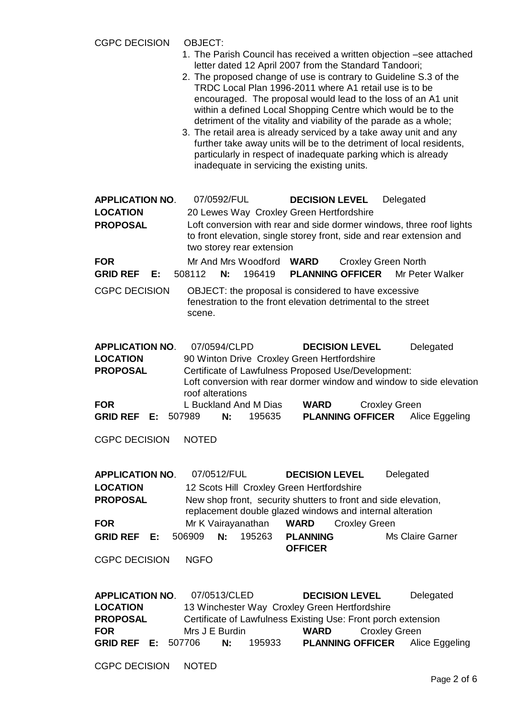CGPC DECISION OBJECT:

- 1. The Parish Council has received a written objection –see attached letter dated 12 April 2007 from the Standard Tandoori;
- 2. The proposed change of use is contrary to Guideline S.3 of the TRDC Local Plan 1996-2011 where A1 retail use is to be encouraged. The proposal would lead to the loss of an A1 unit within a defined Local Shopping Centre which would be to the detriment of the vitality and viability of the parade as a whole;
- 3. The retail area is already serviced by a take away unit and any further take away units will be to the detriment of local residents, particularly in respect of inadequate parking which is already inadequate in servicing the existing units.

| <b>APPLICATION NO.</b> | 07/0592/FUL                                                                                       | <b>DECISION LEVEL</b> | Delegated                                                            |
|------------------------|---------------------------------------------------------------------------------------------------|-----------------------|----------------------------------------------------------------------|
| <b>LOCATION</b>        | 20 Lewes Way Croxley Green Hertfordshire                                                          |                       |                                                                      |
| <b>PROPOSAL</b>        | to front elevation, single storey front, side and rear extension and<br>two storey rear extension |                       | Loft conversion with rear and side dormer windows, three roof lights |
| <b>FOR</b>             | Mr And Mrs Woodford WARD                                                                          |                       | <b>Croxley Green North</b>                                           |

**GRID REF E:** 508112 **N:** 196419 **PLANNING OFFICER** Mr Peter Walker

CGPC DECISION OBJECT: the proposal is considered to have excessive fenestration to the front elevation detrimental to the street scene.

|                                                                | APPLICATION NO. 07/0594/CLPD        | <b>DECISION LEVEL</b><br>Delegated                                   |  |  |  |  |  |
|----------------------------------------------------------------|-------------------------------------|----------------------------------------------------------------------|--|--|--|--|--|
| 90 Winton Drive Croxley Green Hertfordshire<br><b>LOCATION</b> |                                     |                                                                      |  |  |  |  |  |
| <b>PROPOSAL</b>                                                |                                     | Certificate of Lawfulness Proposed Use/Development:                  |  |  |  |  |  |
|                                                                | roof alterations                    | Loft conversion with rear dormer window and window to side elevation |  |  |  |  |  |
| <b>FOR</b>                                                     | L Buckland And M Dias               | <b>Croxley Green</b><br><b>WARD</b>                                  |  |  |  |  |  |
| COID DEE                                                       | $F. 507000 \qquad \text{M}. 405695$ | DI ANNINO OFFICED<br>Alica Eagolina                                  |  |  |  |  |  |

**GRID REF E:** 507989 **N:** 195635 **PLANNING OFFICER** Alice Eggeling

CGPC DECISION NOTED

| <b>APPLICATION NO.</b>                                       |  |        | 07/0512/FUL                                                                                                                 |                       | <b>DECISION LEVEL</b> |  | Delegated        |
|--------------------------------------------------------------|--|--------|-----------------------------------------------------------------------------------------------------------------------------|-----------------------|-----------------------|--|------------------|
| 12 Scots Hill Croxley Green Hertfordshire<br><b>LOCATION</b> |  |        |                                                                                                                             |                       |                       |  |                  |
| <b>PROPOSAL</b>                                              |  |        | New shop front, security shutters to front and side elevation,<br>replacement double glazed windows and internal alteration |                       |                       |  |                  |
| <b>FOR</b>                                                   |  |        | Mr K Vairayanathan                                                                                                          | WARD<br>Croxley Green |                       |  |                  |
| <b>GRID REF</b> E:                                           |  | 506909 | N:                                                                                                                          | 195263                | <b>PLANNING</b>       |  | Ms Claire Garner |

CGPC DECISION NGFO

| <b>APPLICATION NO.</b>    | 07/0513/CLED                                  |        | <b>DECISION LEVEL</b>                                         |                      | Delegated                              |  |  |
|---------------------------|-----------------------------------------------|--------|---------------------------------------------------------------|----------------------|----------------------------------------|--|--|
| <b>LOCATION</b>           | 13 Winchester Way Croxley Green Hertfordshire |        |                                                               |                      |                                        |  |  |
| <b>PROPOSAL</b>           |                                               |        | Certificate of Lawfulness Existing Use: Front porch extension |                      |                                        |  |  |
| <b>FOR</b>                | Mrs J E Burdin                                |        | <b>WARD</b>                                                   | <b>Croxley Green</b> |                                        |  |  |
| <b>GRID REF E: 507706</b> | N:                                            | 195933 |                                                               |                      | <b>PLANNING OFFICER</b> Alice Eggeling |  |  |

**OFFICER**

CGPC DECISION NOTED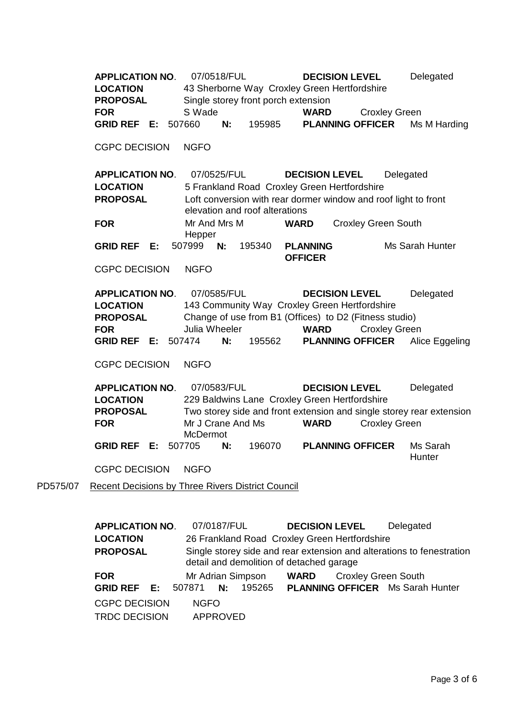**APPLICATION NO**. 07/0518/FUL **DECISION LEVEL** Delegated **LOCATION** 43 Sherborne Way Croxley Green Hertfordshire **PROPOSAL** Single storey front porch extension **FOR** SWade **WARD** Croxley Green **GRID REF E:** 507660 **N:** 195985 **PLANNING OFFICER** Ms M Harding CGPC DECISION NGFO **APPLICATION NO**. 07/0525/FUL **DECISION LEVEL** Delegated **LOCATION** 5 Frankland Road Croxley Green Hertfordshire **PROPOSAL** Loft conversion with rear dormer window and roof light to front elevation and roof alterations **FOR** Mr And Mrs M Hepper **WARD** Croxley Green South **GRID REF E:** 507999 **N:** 195340 **PLANNING OFFICER** Ms Sarah Hunter CGPC DECISION NGFO **APPLICATION NO**. 07/0585/FUL **DECISION LEVEL** Delegated **LOCATION** 143 Community Way Croxley Green Hertfordshire **PROPOSAL** Change of use from B1 (Offices) to D2 (Fitness studio) **FOR** Julia Wheeler **WARD** Croxley Green **GRID REF E:** 507474 **N:** 195562 **PLANNING OFFICER** Alice Eggeling CGPC DECISION NGFO **APPLICATION NO**. 07/0583/FUL **DECISION LEVEL** Delegated **LOCATION** 229 Baldwins Lane Croxley Green Hertfordshire **PROPOSAL** Two storey side and front extension and single storey rear extension **FOR** Mr J Crane And Ms **McDermot WARD** Croxley Green **GRID REF E:** 507705 **N:** 196070 **PLANNING OFFICER** Ms Sarah **Hunter** CGPC DECISION NGFO PD575/07 Recent Decisions by Three Rivers District Council **APPLICATION NO**. 07/0187/FUL **DECISION LEVEL** Delegated **LOCATION** 26 Frankland Road Croxley Green Hertfordshire **PROPOSAL** Single storey side and rear extension and alterations to fenestration detail and demolition of detached garage **FOR** Mr Adrian Simpson **WARD** Croxley Green South **GRID REF E:** 507871 **N:** 195265 **PLANNING OFFICER** Ms Sarah Hunter CGPC DECISION NGFO TRDC DECISION APPROVED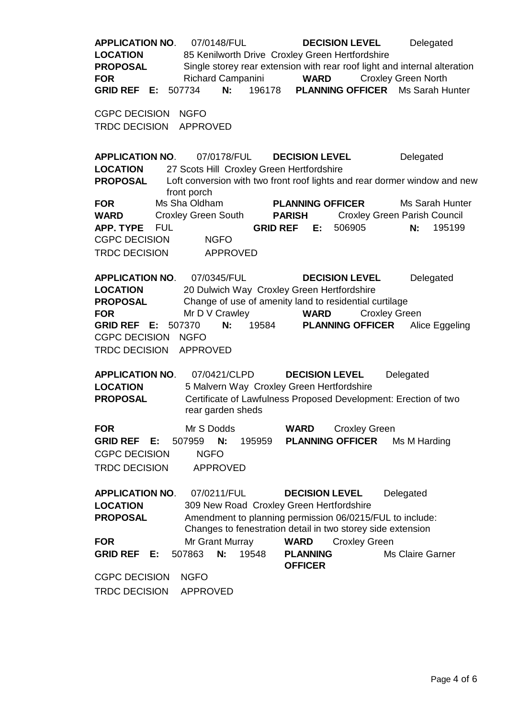**APPLICATION NO**. 07/0148/FUL **DECISION LEVEL** Delegated **LOCATION** 85 Kenilworth Drive Croxley Green Hertfordshire **PROPOSAL** Single storey rear extension with rear roof light and internal alteration **FOR** Richard Campanini **WARD** Croxley Green North **GRID REF E:** 507734 **N:** 196178 **PLANNING OFFICER** Ms Sarah Hunter CGPC DECISION NGFO TRDC DECISION APPROVED **APPLICATION NO**. 07/0178/FUL **DECISION LEVEL** Delegated **LOCATION** 27 Scots Hill Croxley Green Hertfordshire **PROPOSAL** Loft conversion with two front roof lights and rear dormer window and new front porch **FOR** Ms Sha Oldham **PLANNING OFFICER** Ms Sarah Hunter **WARD** Croxley Green South **PARISH** Croxley Green Parish Council **APP. TYPE** FUL **GRID REF E:** 506905 **N:** 195199 CGPC DECISION NGFO TRDC DECISION APPROVED **APPLICATION NO**. 07/0345/FUL **DECISION LEVEL** Delegated **LOCATION** 20 Dulwich Way Croxley Green Hertfordshire **PROPOSAL** Change of use of amenity land to residential curtilage **FOR** Mr D V Crawley **WARD** Croxley Green **GRID REF E:** 507370 **N:** 19584 **PLANNING OFFICER** Alice Eggeling CGPC DECISION NGFO TRDC DECISION APPROVED **APPLICATION NO**. 07/0421/CLPD **DECISION LEVEL** Delegated **LOCATION** 5 Malvern Way Croxley Green Hertfordshire **PROPOSAL** Certificate of Lawfulness Proposed Development: Erection of two rear garden sheds **FOR** Mr S Dodds **WARD** Croxley Green **GRID REF E:** 507959 **N:** 195959 **PLANNING OFFICER** Ms M Harding CGPC DECISION NGFO TRDC DECISION APPROVED **APPLICATION NO**. 07/0211/FUL **DECISION LEVEL** Delegated **LOCATION** 309 New Road Croxley Green Hertfordshire **PROPOSAL** Amendment to planning permission 06/0215/FUL to include: Changes to fenestration detail in two storey side extension **FOR** Mr Grant Murray **WARD** Croxley Green **GRID REF E:** 507863 **N:** 19548 **PLANNING OFFICER** Ms Claire Garner CGPC DECISION NGFO TRDC DECISION APPROVED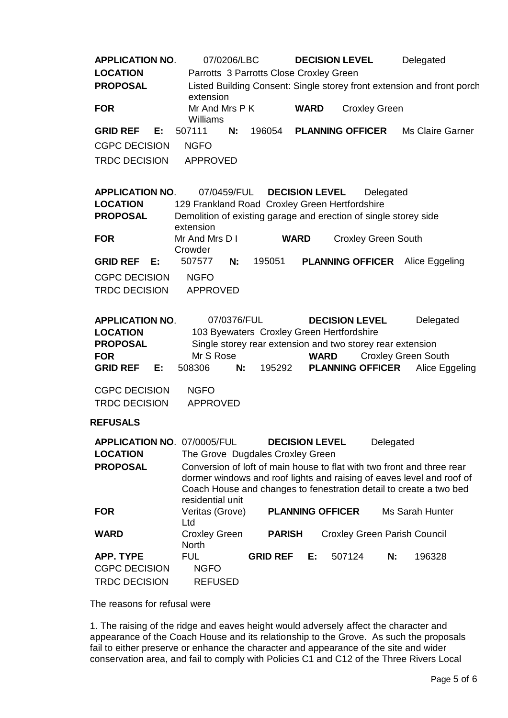**APPLICATION NO**. 07/0206/LBC **DECISION LEVEL** Delegated **LOCATION** Parrotts 3 Parrotts Close Croxley Green **PROPOSAL** Listed Building Consent: Single storey front extension and front porch extension **FOR** Mr And Mrs P K Williams **WARD** Croxley Green **GRID REF E:** 507111 **N:** 196054 **PLANNING OFFICER** Ms Claire Garner CGPC DECISION NGFO TRDC DECISION APPROVED **APPLICATION NO**. 07/0459/FUL **DECISION LEVEL** Delegated **LOCATION** 129 Frankland Road Croxley Green Hertfordshire **PROPOSAL** Demolition of existing garage and erection of single storey side extension **FOR** Mr And Mrs D I **Crowder WARD** Croxley Green South **GRID REF E:** 507577 **N:** 195051 **PLANNING OFFICER** Alice Eggeling CGPC DECISION NGFO TRDC DECISION APPROVED **APPLICATION NO**. 07/0376/FUL **DECISION LEVEL** Delegated **LOCATION** 103 Byewaters Croxley Green Hertfordshire **PROPOSAL** Single storey rear extension and two storey rear extension **FOR** Mr S Rose **WARD** Croxley Green South **GRID REF E:** 508306 **N:** 195292 **PLANNING OFFICER** Alice Eggeling CGPC DECISION NGFO TRDC DECISION APPROVED **REFUSALS APPLICATION NO**. 07/0005/FUL **DECISION LEVEL** Delegated **LOCATION** The Grove Dugdales Croxley Green **PROPOSAL** Conversion of loft of main house to flat with two front and three rear dormer windows and roof lights and raising of eaves level and roof of Coach House and changes to fenestration detail to create a two bed residential unit **FOR** Veritas (Grove) Ltd **PLANNING OFFICER** Ms Sarah Hunter WARD Croxley Green **North PARISH** Croxley Green Parish Council **APP. TYPE** FUL **GRID REF E:** 507124 **N:** 196328 CGPC DECISION NGFO TRDC DECISION REFUSED

The reasons for refusal were

1. The raising of the ridge and eaves height would adversely affect the character and appearance of the Coach House and its relationship to the Grove. As such the proposals fail to either preserve or enhance the character and appearance of the site and wider conservation area, and fail to comply with Policies C1 and C12 of the Three Rivers Local